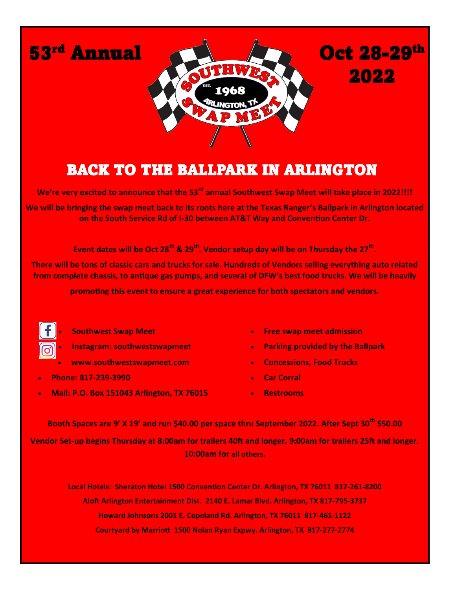

## BACK TO THE BALLPARK IN ARLINGTON!

**We're very excited to announce that the 53rd annual Southwest Swap Meet will take place in 2022!!!!**

**We will be bringing the swap meet back to its roots here at the Texas Ranger's Ballpark in Arlington located on the South Service Rd of I-30 between AT&T Way and Convention Center Dr.** 

**Event dates will be Oct 28th & 29th. Vendor setup day will be on Thursday the 27th .**

**There will be tons of classic cars and trucks for sale. Hundreds of Vendors selling everything auto related from complete chassis, to antique gas pumps, and several of DFW's best food trucks. We will be heavily** 

**promoting this event to ensure a great experience for both spectators and vendors.**



• **Southwest Swap Meet**

- **Instagram: southwestswapmeet**
- **www.southwestswapmeet.com**
- **Phone: 817-239-3990**
- **Mail: P.O. Box 151043 Arlington, TX 76015**
- **Free swap meet admission**
- **Parking provided by the Ballpark**
- **Concessions, Food Trucks**
- **Car Corral**
- **Restrooms**

**Booth Spaces are 9' X 19' and run \$40.00 per space thru September 2022. After Sept 30th \$50.00 Vendor Set-up begins Thursday at 8:00am for trailers 40ft and longer. 9:00am for trailers 25ft and longer. 10:00am for all others.**

**Local Hotels: Sheraton Hotel 1500 Convention Center Dr. Arlington, TX 76011 817-261-8200 Aloft Arlington Entertainment Dist. 2140 E. Lamar Blvd. Arlington, TX 817-795-3737 Howard Johnsons 2001 E. Copeland Rd. Arlington, TX 76011 817-461-1122 Courtyard by Marriott 1500 Nolan Ryan Expwy. Arlington, TX 817-277-2774**